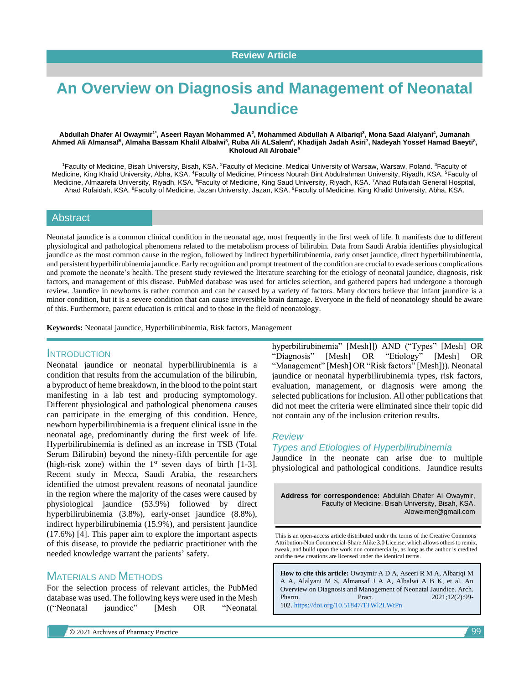# **An Overview on Diagnosis and Management of Neonatal Jaundice**

#### **Abdullah Dhafer Al Owaymir1\*, Aseeri Rayan Mohammed A<sup>2</sup> , Mohammed Abdullah A Albariqi<sup>3</sup> , Mona Saad Alalyani<sup>4</sup> , Jumanah Ahmed Ali Almansaf<sup>5</sup> , Almaha Bassam Khalil Albalwi<sup>5</sup> , Ruba Ali ALSalem<sup>6</sup> , Khadijah Jadah Asiri<sup>7</sup> , Nadeyah Yossef Hamad Baeyti<sup>8</sup> , Kholoud Ali Alrobaie<sup>9</sup>**

<sup>1</sup>Faculty of Medicine, Bisah University, Bisah, KSA. <sup>2</sup>Faculty of Medicine, Medical University of Warsaw, Warsaw, Poland. <sup>3</sup>Faculty of Medicine, King Khalid University, Abha, KSA. <sup>4</sup>Faculty of Medicine, Princess Nourah Bint Abdulrahman University, Riyadh, KSA. <sup>5</sup>Faculty of Medicine, Almaarefa University, Riyadh, KSA. <sup>6</sup>Faculty of Medicine, King Saud University, Riyadh, KSA. <sup>7</sup>Ahad Rufaidah General Hospital, Ahad Rufaidah, KSA. <sup>8</sup>Faculty of Medicine, Jazan University, Jazan, KSA. <sup>9</sup>Faculty of Medicine, King Khalid University, Abha, KSA.

## Abstract

Neonatal jaundice is a common clinical condition in the neonatal age, most frequently in the first week of life. It manifests due to different physiological and pathological phenomena related to the metabolism process of bilirubin. Data from Saudi Arabia identifies physiological jaundice as the most common cause in the region, followed by indirect hyperbilirubinemia, early onset jaundice, direct hyperbilirubinemia, and persistent hyperbilirubinemia jaundice. Early recognition and prompt treatment of the condition are crucial to evade serious complications and promote the neonate's health. The present study reviewed the literature searching for the etiology of neonatal jaundice, diagnosis, risk factors, and management of this disease. PubMed database was used for articles selection, and gathered papers had undergone a thorough review. Jaundice in newborns is rather common and can be caused by a variety of factors. Many doctors believe that infant jaundice is a minor condition, but it is a severe condition that can cause irreversible brain damage. Everyone in the field of neonatology should be aware of this. Furthermore, parent education is critical and to those in the field of neonatology.

**Keywords:** Neonatal jaundice, Hyperbilirubinemia, Risk factors, Management

#### **INTRODUCTION**

Neonatal jaundice or neonatal hyperbilirubinemia is a condition that results from the accumulation of the bilirubin, a byproduct of heme breakdown, in the blood to the point start manifesting in a lab test and producing symptomology. Different physiological and pathological phenomena causes can participate in the emerging of this condition. Hence, newborn hyperbilirubinemia is a frequent clinical issue in the neonatal age, predominantly during the first week of life. Hyperbilirubinemia is defined as an increase in TSB (Total Serum Bilirubin) beyond the ninety-fifth percentile for age (high-risk zone) within the  $1<sup>st</sup>$  seven days of birth [1-3]. Recent study in Mecca, Saudi Arabia, the researchers identified the utmost prevalent reasons of neonatal jaundice in the region where the majority of the cases were caused by physiological jaundice (53.9%) followed by direct hyperbilirubinemia (3.8%), early-onset jaundice (8.8%), indirect hyperbilirubinemia (15.9%), and persistent jaundice (17.6%) [4]. This paper aim to explore the important aspects of this disease, to provide the pediatric practitioner with the needed knowledge warrant the patients' safety.

## MATERIALS AND METHODS

For the selection process of relevant articles, the PubMed database was used. The following keys were used in the Mesh<br>(("Neonatal jaundice" [Mesh OR "Neonatal ("Neonatal jaundice" [Mesh OR

© 2021 Archives of Pharmacy Practice 1 99

hyperbilirubinemia" [Mesh]]) AND ("Types" [Mesh] OR "Diagnosis" [Mesh] OR "Etiology" [Mesh] OR "Management" [Mesh] OR "Risk factors" [Mesh])). Neonatal jaundice or neonatal hyperbilirubinemia types, risk factors, evaluation, management, or diagnosis were among the selected publications for inclusion. All other publications that did not meet the criteria were eliminated since their topic did not contain any of the inclusion criterion results.

## *Review*

## *Types and Etiologies of Hyperbilirubinemia*

Jaundice in the neonate can arise due to multiple physiological and pathological conditions. Jaundice results

**Address for correspondence:** Abdullah Dhafer Al Owaymir, Faculty of Medicine, Bisah University, Bisah, KSA. Aloweimer@gmail.com

This is an open-access article distributed under the terms of the Creative Commons Attribution-Non Commercial-Share Alike 3.0 License, which allows others to remix, tweak, and build upon the work non commercially, as long as the author is credited and the new creations are licensed under the identical terms.

**How to cite this article:** Owaymir A D A, Aseeri R M A, Albariqi M A A, Alalyani M S, Almansaf J A A, Albalwi A B K, et al. An Overview on Diagnosis and Management of Neonatal Jaundice. Arch. Pharm. **Pract.** 2021;12(2):99-102. <https://doi.org/10.51847/1TWl2LWtPn>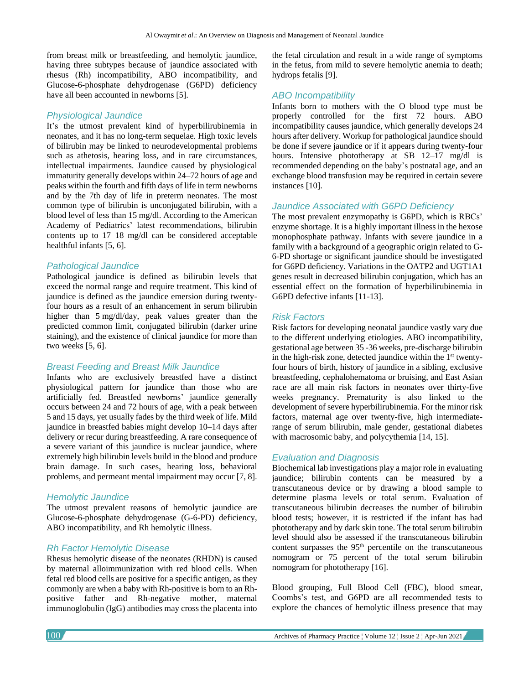from breast milk or breastfeeding, and hemolytic jaundice, having three subtypes because of jaundice associated with rhesus (Rh) incompatibility, ABO incompatibility, and Glucose-6-phosphate dehydrogenase (G6PD) deficiency have all been accounted in newborns [5].

## *Physiological Jaundice*

It's the utmost prevalent kind of hyperbilirubinemia in neonates, and it has no long-term sequelae. High toxic levels of bilirubin may be linked to neurodevelopmental problems such as athetosis, hearing loss, and in rare circumstances, intellectual impairments. Jaundice caused by physiological immaturity generally develops within 24–72 hours of age and peaks within the fourth and fifth days of life in term newborns and by the 7th day of life in preterm neonates. The most common type of bilirubin is unconjugated bilirubin, with a blood level of less than 15 mg/dl. According to the American Academy of Pediatrics' latest recommendations, bilirubin contents up to 17–18 mg/dl can be considered acceptable healthful infants [5, 6].

## *Pathological Jaundice*

Pathological jaundice is defined as bilirubin levels that exceed the normal range and require treatment. This kind of jaundice is defined as the jaundice emersion during twentyfour hours as a result of an enhancement in serum bilirubin higher than 5 mg/dl/day, peak values greater than the predicted common limit, conjugated bilirubin (darker urine staining), and the existence of clinical jaundice for more than two weeks [5, 6].

## *Breast Feeding and Breast Milk Jaundice*

Infants who are exclusively breastfed have a distinct physiological pattern for jaundice than those who are artificially fed. Breastfed newborns' jaundice generally occurs between 24 and 72 hours of age, with a peak between 5 and 15 days, yet usually fades by the third week of life. Mild jaundice in breastfed babies might develop 10–14 days after delivery or recur during breastfeeding. A rare consequence of a severe variant of this jaundice is nuclear jaundice, where extremely high bilirubin levels build in the blood and produce brain damage. In such cases, hearing loss, behavioral problems, and permeant mental impairment may occur [7, 8].

## *Hemolytic Jaundice*

The utmost prevalent reasons of hemolytic jaundice are Glucose-6-phosphate dehydrogenase (G-6-PD) deficiency, ABO incompatibility, and Rh hemolytic illness.

## *Rh Factor Hemolytic Disease*

Rhesus hemolytic disease of the neonates (RHDN) is caused by maternal alloimmunization with red blood cells. When fetal red blood cells are positive for a specific antigen, as they commonly are when a baby with Rh-positive is born to an Rhpositive father and Rh-negative mother, maternal immunoglobulin (IgG) antibodies may cross the placenta into

the fetal circulation and result in a wide range of symptoms in the fetus, from mild to severe hemolytic anemia to death; hydrops fetalis [9].

## *ABO Incompatibility*

Infants born to mothers with the O blood type must be properly controlled for the first 72 hours. ABO incompatibility causes jaundice, which generally develops 24 hours after delivery. Workup for pathological jaundice should be done if severe jaundice or if it appears during twenty-four hours. Intensive phototherapy at SB 12–17 mg/dl is recommended depending on the baby's postnatal age, and an exchange blood transfusion may be required in certain severe instances [10].

## *Jaundice Associated with G6PD Deficiency*

The most prevalent enzymopathy is G6PD, which is RBCs' enzyme shortage. It is a highly important illness in the hexose monophosphate pathway. Infants with severe jaundice in a family with a background of a geographic origin related to G-6-PD shortage or significant jaundice should be investigated for G6PD deficiency. Variations in the OATP2 and UGT1A1 genes result in decreased bilirubin conjugation, which has an essential effect on the formation of hyperbilirubinemia in G6PD defective infants [11-13].

## *Risk Factors*

Risk factors for developing neonatal jaundice vastly vary due to the different underlying etiologies. ABO incompatibility, gestational age between 35 -36 weeks, pre-discharge bilirubin in the high-risk zone, detected jaundice within the 1<sup>st</sup> twentyfour hours of birth, history of jaundice in a sibling, exclusive breastfeeding, cephalohematoma or bruising, and East Asian race are all main risk factors in neonates over thirty-five weeks pregnancy. Prematurity is also linked to the development of severe hyperbilirubinemia. For the minor risk factors, maternal age over twenty-five, high intermediaterange of serum bilirubin, male gender, gestational diabetes with macrosomic baby, and polycythemia [14, 15].

## *Evaluation and Diagnosis*

Biochemical lab investigations play a major role in evaluating jaundice; bilirubin contents can be measured by a transcutaneous device or by drawing a blood sample to determine plasma levels or total serum. Evaluation of transcutaneous bilirubin decreases the number of bilirubin blood tests; however, it is restricted if the infant has had phototherapy and by dark skin tone. The total serum bilirubin level should also be assessed if the transcutaneous bilirubin content surpasses the 95<sup>th</sup> percentile on the transcutaneous nomogram or 75 percent of the total serum bilirubin nomogram for phototherapy [16].

Blood grouping, Full Blood Cell (FBC), blood smear, Coombs's test, and G6PD are all recommended tests to explore the chances of hemolytic illness presence that may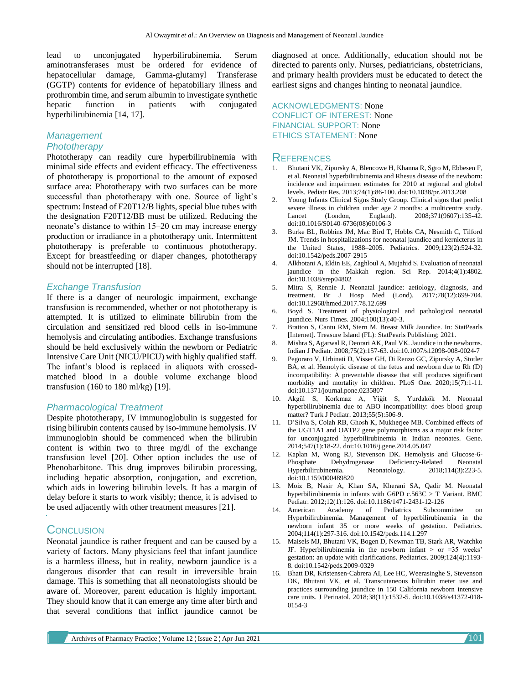lead to unconjugated hyperbilirubinemia. Serum aminotransferases must be ordered for evidence of hepatocellular damage, Gamma-glutamyl Transferase (GGTP) contents for evidence of hepatobiliary illness and prothrombin time, and serum albumin to investigate synthetic hepatic function in patients with conjugated hyperbilirubinemia [14, 17].

## *Management Phototherapy*

Phototherapy can readily cure hyperbilirubinemia with minimal side effects and evident efficacy. The effectiveness of phototherapy is proportional to the amount of exposed surface area: Phototherapy with two surfaces can be more successful than phototherapy with one. Source of light's spectrum: Instead of F20T12/B lights, special blue tubes with the designation F20T12/BB must be utilized. Reducing the neonate's distance to within 15–20 cm may increase energy production or irradiance in a phototherapy unit. Intermittent phototherapy is preferable to continuous phototherapy. Except for breastfeeding or diaper changes, phototherapy should not be interrupted [18].

#### *Exchange Transfusion*

If there is a danger of neurologic impairment, exchange transfusion is recommended, whether or not phototherapy is attempted. It is utilized to eliminate bilirubin from the circulation and sensitized red blood cells in iso-immune hemolysis and circulating antibodies. Exchange transfusions should be held exclusively within the newborn or Pediatric Intensive Care Unit (NICU/PICU) with highly qualified staff. The infant's blood is replaced in aliquots with crossedmatched blood in a double volume exchange blood transfusion (160 to 180 ml/kg) [19].

#### *Pharmacological Treatment*

Despite phototherapy, IV immunoglobulin is suggested for rising bilirubin contents caused by iso-immune hemolysis. IV immunoglobin should be commenced when the bilirubin content is within two to three mg/dl of the exchange transfusion level [20]. Other option includes the use of Phenobarbitone. This drug improves bilirubin processing, including hepatic absorption, conjugation, and excretion, which aids in lowering bilirubin levels. It has a margin of delay before it starts to work visibly; thence, it is advised to be used adjacently with other treatment measures [21].

#### **CONCLUSION**

Neonatal jaundice is rather frequent and can be caused by a variety of factors. Many physicians feel that infant jaundice is a harmless illness, but in reality, newborn jaundice is a dangerous disorder that can result in irreversible brain damage. This is something that all neonatologists should be aware of. Moreover, parent education is highly important. They should know that it can emerge any time after birth and that several conditions that inflict jaundice cannot be

diagnosed at once. Additionally, education should not be directed to parents only. Nurses, pediatricians, obstetricians, and primary health providers must be educated to detect the earliest signs and changes hinting to neonatal jaundice.

#### ACKNOWLEDGMENTS: None CONFLICT OF INTEREST: None FINANCIAL SUPPORT: None ETHICS STATEMENT: None

#### **REFERENCES**

- 1. Bhutani VK, Zipursky A, Blencowe H, Khanna R, Sgro M, Ebbesen F, et al. Neonatal hyperbilirubinemia and Rhesus disease of the newborn: incidence and impairment estimates for 2010 at regional and global levels. Pediatr Res. 2013;74(1):86-100. doi:10.1038/pr.2013.208
- 2. Young Infants Clinical Signs Study Group. Clinical signs that predict severe illness in children under age 2 months: a multicentre study. Lancet (London, England). 2008;371(9607):135-42. doi:10.1016/S0140-6736(08)60106-3
- 3. Burke BL, Robbins JM, Mac Bird T, Hobbs CA, Nesmith C, Tilford JM. Trends in hospitalizations for neonatal jaundice and kernicterus in the United States, 1988–2005. Pediatrics. 2009;123(2):524-32. doi:10.1542/peds.2007-2915
- 4. Alkhotani A, Eldin EE, Zaghloul A, Mujahid S. Evaluation of neonatal jaundice in the Makkah region. Sci Rep. 2014;4(1):4802. doi:10.1038/srep04802
- 5. Mitra S, Rennie J. Neonatal jaundice: aetiology, diagnosis, and treatment. Br J Hosp Med (Lond). 2017;78(12):699-704. doi:10.12968/hmed.2017.78.12.699
- 6. Boyd S. Treatment of physiological and pathological neonatal jaundice. Nurs Times. 2004;100(13):40-3.
- 7. Bratton S, Cantu RM, Stern M. Breast Milk Jaundice. In: StatPearls [Internet]. Treasure Island (FL): StatPearls Publishing; 2021.
- 8. Mishra S, Agarwal R, Deorari AK, Paul VK. Jaundice in the newborns. Indian J Pediatr. 2008;75(2):157-63. doi:10.1007/s12098-008-0024-7
- 9. Pegoraro V, Urbinati D, Visser GH, Di Renzo GC, Zipursky A, Stotler BA, et al. Hemolytic disease of the fetus and newborn due to Rh (D) incompatibility: A preventable disease that still produces significant morbidity and mortality in children. PLoS One. 2020;15(7):1-11. doi:10.1371/journal.pone.0235807
- 10. Akgül S, Korkmaz A, Yiğit S, Yurdakök M. Neonatal hyperbilirubinemia due to ABO incompatibility: does blood group matter? Turk J Pediatr. 2013;55(5):506-9.
- 11. D'Silva S, Colah RB, Ghosh K, Mukherjee MB. Combined effects of the UGT1A1 and OATP2 gene polymorphisms as a major risk factor for unconjugated hyperbilirubinemia in Indian neonates. Gene. 2014;547(1):18-22. doi:10.1016/j.gene.2014.05.047
- 12. Kaplan M, Wong RJ, Stevenson DK. Hemolysis and Glucose-6- Phosphate Dehydrogenase Deficiency-Related Neonatal<br>Hyperbilirubinemia. Neonatology. 2018;114(3):223-5. Hyperbilirubinemia. doi:10.1159/000489820
- 13. Moiz B, Nasir A, Khan SA, Kherani SA, Qadir M. Neonatal hyperbilirubinemia in infants with G6PD c.563C > T Variant. BMC Pediatr. 2012;12(1):126. doi:10.1186/1471-2431-12-126
- 14. American Academy of Pediatrics Subcommittee Hyperbilirubinemia. Management of hyperbilirubinemia in the newborn infant 35 or more weeks of gestation. Pediatrics. 2004;114(1):297-316. doi:10.1542/peds.114.1.297
- 15. Maisels MJ, Bhutani VK, Bogen D, Newman TB, Stark AR, Watchko JF. Hyperbilirubinemia in the newborn infant  $>$  or  $=35$  weeks' gestation: an update with clarifications. Pediatrics. 2009;124(4):1193- 8. doi:10.1542/peds.2009-0329
- 16. Bhatt DR, Kristensen-Cabrera AI, Lee HC, Weerasinghe S, Stevenson DK, Bhutani VK, et al. Transcutaneous bilirubin meter use and practices surrounding jaundice in 150 California newborn intensive care units. J Perinatol. 2018;38(11):1532-5. doi:10.1038/s41372-018- 0154-3